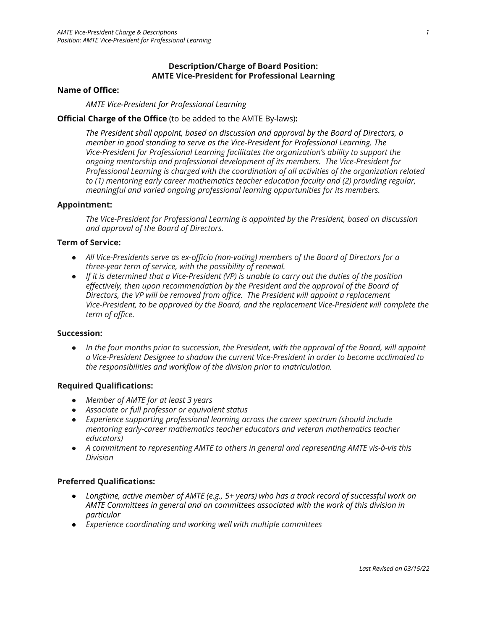## **Description/Charge of Board Position: AMTE Vice-President for Professional Learning**

#### **Name of Office:**

*AMTE Vice-President for Professional Learning*

## **Official Charge of the Office** (to be added to the AMTE By-laws)**:**

*The President shall appoint, based on discussion and approval by the Board of Directors, a member in good standing to serve as the Vice-President for Professional Learning. The Vice-President for Professional Learning facilitates the organization's ability to support the ongoing mentorship and professional development of its members. The Vice-President for Professional Learning is charged with the coordination of all activities of the organization related to (1) mentoring early career mathematics teacher education faculty and (2) providing regular, meaningful and varied ongoing professional learning opportunities for its members.*

#### **Appointment:**

*The Vice-President for Professional Learning is appointed by the President, based on discussion and approval of the Board of Directors.*

### **Term of Service:**

- *● All Vice-Presidents serve as ex-officio (non-voting) members of the Board of Directors for a three-year term of service, with the possibility of renewal.*
- If it is determined that a Vice-President (VP) is unable to carry out the duties of the position *effectively, then upon recommendation by the President and the approval of the Board of Directors, the VP will be removed from office. The President will appoint a replacement Vice-President, to be approved by the Board, and the replacement Vice-President will complete the term of office.*

#### **Succession:**

• In the four months prior to succession, the President, with the approval of the Board, will appoint *a Vice-President Designee to shadow the current Vice-President in order to become acclimated to the responsibilities and workflow of the division prior to matriculation.*

#### **Required Qualifications:**

- *● Member of AMTE for at least 3 years*
- *● Associate or full professor or equivalent status*
- *● Experience supporting professional learning across the career spectrum (should include mentoring early-career mathematics teacher educators and veteran mathematics teacher educators)*
- *● A commitment to representing AMTE to others in general and representing AMTE vis-à-vis this Division*

# **Preferred Qualifications:**

- *● Longtime, active member of AMTE (e.g., 5+ years) who has a track record of successful work on AMTE Committees in general and on committees associated with the work of this division in particular*
- *● Experience coordinating and working well with multiple committees*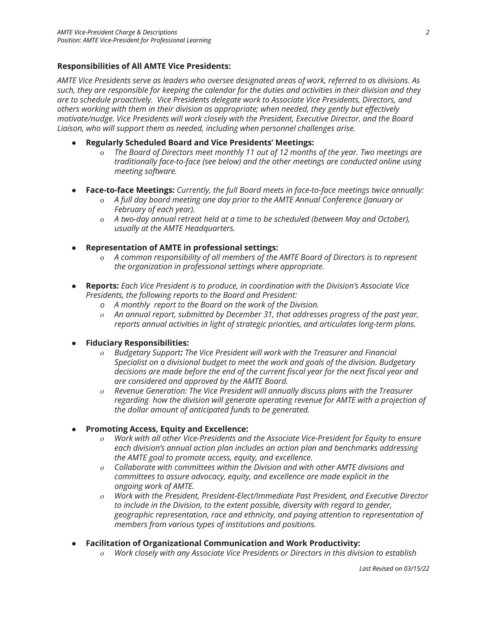# **Responsibilities of All AMTE Vice Presidents:**

*AMTE Vice Presidents serve as leaders who oversee designated areas of work, referred to as divisions. As* such, they are responsible for keeping the calendar for the duties and activities in their division and they *are to schedule proactively. Vice Presidents delegate work to Associate Vice Presidents, Directors, and others working with them in their division as appropriate; when needed, they gently but effectively motivate/nudge. Vice Presidents will work closely with the President, Executive Director, and the Board Liaison, who will support them as needed, including when personnel challenges arise.*

- **Regularly Scheduled Board and Vice Presidents' Meetings:**
	- o *The Board of Directors meet monthly 11 out of 12 months of the year. Two meetings are traditionally face-to-face (see below) and the other meetings are conducted online using meeting software.*
- **Face-to-face Meetings:** *Currently, the full Board meets in face-to-face meetings twice annually:*
	- o *A full day board meeting one day prior to the AMTE Annual Conference (January or February of each year).*
	- o *A two-day annual retreat held at a time to be scheduled (between May and October), usually at the AMTE Headquarters.*
- **Representation of AMTE in professional settings:**
	- o *A common responsibility of all members of the AMTE Board of Directors is to represent the organization in professional settings where appropriate.*
- *●* **Reports:** *Each Vice President is to produce, in coordination with the Division's Associate Vice Presidents, the following reports to the Board and President:*
	- *o A monthly report to the Board on the work of the Division.*
	- *o An annual report, submitted by December 31, that addresses progress of the past year, reports annual activities in light of strategic priorities, and articulates long-term plans.*
- **Fiduciary Responsibilities:**
	- *o Budgetary Support: The Vice President will work with the Treasurer and Financial Specialist on a divisional budget to meet the work and goals of the division. Budgetary decisions are made before the end of the current fiscal year for the next fiscal year and are considered and approved by the AMTE Board.*
	- *o Revenue Generation: The Vice President will annually discuss plans with the Treasurer regarding how the division will generate operating revenue for AMTE with a projection of the dollar amount of anticipated funds to be generated.*
- *●* **Promoting Access, Equity and Excellence:**
	- *o Work with all other Vice-Presidents and the Associate Vice-President for Equity to ensure each division's annual action plan includes an action plan and benchmarks addressing the AMTE goal to promote access, equity, and excellence.*
	- *o Collaborate with committees within the Division and with other AMTE divisions and committees to assure advocacy, equity, and excellence are made explicit in the ongoing work of AMTE.*
	- *o Work with the President, President-Elect/Immediate Past President, and Executive Director to include in the Division, to the extent possible, diversity with regard to gender, geographic representation, race and ethnicity, and paying attention to representation of members from various types of institutions and positions.*
- *●* **Facilitation of Organizational Communication and Work Productivity:**
	- *o Work closely with any Associate Vice Presidents or Directors in this division to establish*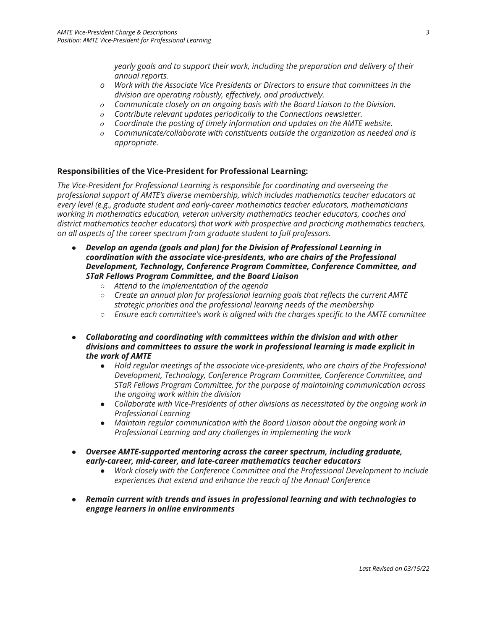*yearly goals and to support their work, including the preparation and delivery of their annual reports.*

- *o Work with the Associate Vice Presidents or Directors to ensure that committees in the division are operating robustly, effectively, and productively.*
- *o Communicate closely on an ongoing basis with the Board Liaison to the Division.*
- *o Contribute relevant updates periodically to the Connections newsletter.*
- *o Coordinate the posting of timely information and updates on the AMTE website.*
- *o Communicate/collaborate with constituents outside the organization as needed and is appropriate.*

# **Responsibilities of the Vice-President for Professional Learning:**

*The Vice-President for Professional Learning is responsible for coordinating and overseeing the professional support of AMTE's diverse membership, which includes mathematics teacher educators at every level (e.g., graduate student and early-career mathematics teacher educators, mathematicians working in mathematics education, veteran university mathematics teacher educators, coaches and district mathematics teacher educators) that work with prospective and practicing mathematics teachers, on all aspects of the career spectrum from graduate student to full professors.*

- *● Develop an agenda (goals and plan) for the Division of Professional Learning in coordination with the associate vice-presidents, who are chairs of the Professional Development, Technology, Conference Program Committee, Conference Committee, and STaR Fellows Program Committee, and the Board Liaison*
	- *○ Attend to the implementation of the agenda*
	- *○ Create an annual plan for professional learning goals that reflects the current AMTE strategic priorities and the professional learning needs of the membership*
	- *○ Ensure each committee's work is aligned with the charges specific to the AMTE committee*
- *● Collaborating and coordinating with committees within the division and with other divisions and committees to assure the work in professional learning is made explicit in the work of AMTE*
	- *● Hold regular meetings of the associate vice-presidents, who are chairs of the Professional Development, Technology, Conference Program Committee, Conference Committee, and STaR Fellows Program Committee, for the purpose of maintaining communication across the ongoing work within the division*
	- *● Collaborate with Vice-Presidents of other divisions as necessitated by the ongoing work in Professional Learning*
	- *● Maintain regular communication with the Board Liaison about the ongoing work in Professional Learning and any challenges in implementing the work*
- *● Oversee AMTE-supported mentoring across the career spectrum, including graduate, early-career, mid-career, and late-career mathematics teacher educators*
	- *● Work closely with the Conference Committee and the Professional Development to include experiences that extend and enhance the reach of the Annual Conference*
- *● Remain current with trends and issues in professional learning and with technologies to engage learners in online environments*